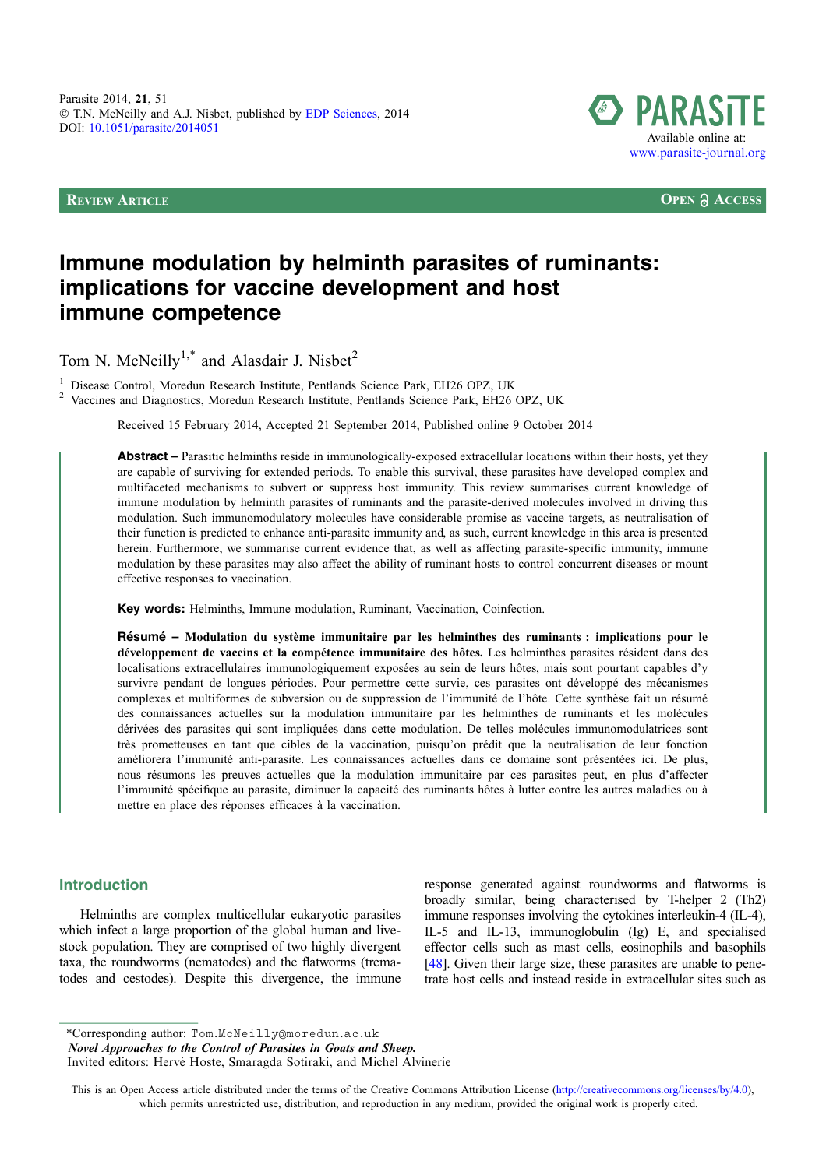

**REVIEW ARTICLE OPEN a ACCESS** 

# Immune modulation by helminth parasites of ruminants: implications for vaccine development and host immune competence

Tom N. McNeilly<sup>1,\*</sup> and Alasdair J. Nisbet<sup>2</sup>

<sup>1</sup> Disease Control, Moredun Research Institute, Pentlands Science Park, EH26 OPZ, UK  $^2$  Vaccines and Diagnostics, Moredun Research Institute, Pentlands Science Park, EH26 OPZ, UK

Received 15 February 2014, Accepted 21 September 2014, Published online 9 October 2014

Abstract – Parasitic helminths reside in immunologically-exposed extracellular locations within their hosts, yet they are capable of surviving for extended periods. To enable this survival, these parasites have developed complex and multifaceted mechanisms to subvert or suppress host immunity. This review summarises current knowledge of immune modulation by helminth parasites of ruminants and the parasite-derived molecules involved in driving this modulation. Such immunomodulatory molecules have considerable promise as vaccine targets, as neutralisation of their function is predicted to enhance anti-parasite immunity and, as such, current knowledge in this area is presented herein. Furthermore, we summarise current evidence that, as well as affecting parasite-specific immunity, immune modulation by these parasites may also affect the ability of ruminant hosts to control concurrent diseases or mount effective responses to vaccination.

Key words: Helminths, Immune modulation, Ruminant, Vaccination, Coinfection.

Résumé – Modulation du système immunitaire par les helminthes des ruminants : implications pour le développement de vaccins et la compétence immunitaire des hôtes. Les helminthes parasites résident dans des localisations extracellulaires immunologiquement exposées au sein de leurs hôtes, mais sont pourtant capables d'y survivre pendant de longues périodes. Pour permettre cette survie, ces parasites ont développé des mécanismes complexes et multiformes de subversion ou de suppression de l'immunité de l'hôte. Cette synthèse fait un résumé des connaissances actuelles sur la modulation immunitaire par les helminthes de ruminants et les molécules dérivées des parasites qui sont impliquées dans cette modulation. De telles molécules immunomodulatrices sont très prometteuses en tant que cibles de la vaccination, puisqu'on prédit que la neutralisation de leur fonction améliorera l'immunité anti-parasite. Les connaissances actuelles dans ce domaine sont présentées ici. De plus, nous résumons les preuves actuelles que la modulation immunitaire par ces parasites peut, en plus d'affecter l'immunité spécifique au parasite, diminuer la capacité des ruminants hôtes à lutter contre les autres maladies ou à mettre en place des réponses efficaces à la vaccination.

## Introduction

Helminths are complex multicellular eukaryotic parasites which infect a large proportion of the global human and livestock population. They are comprised of two highly divergent taxa, the roundworms (nematodes) and the flatworms (trematodes and cestodes). Despite this divergence, the immune response generated against roundworms and flatworms is broadly similar, being characterised by T-helper 2 (Th2) immune responses involving the cytokines interleukin-4 (IL-4), IL-5 and IL-13, immunoglobulin (Ig) E, and specialised effector cells such as mast cells, eosinophils and basophils [\[48\]](#page-8-0). Given their large size, these parasites are unable to penetrate host cells and instead reside in extracellular sites such as

Novel Approaches to the Control of Parasites in Goats and Sheep.

<sup>\*</sup>Corresponding author: Tom.McNeilly@moredun.ac.uk

Invited editors: Hervé Hoste, Smaragda Sotiraki, and Michel Alvinerie

This is an Open Access article distributed under the terms of the Creative Commons Attribution License [\(http://creativecommons.org/licenses/by/4.0\),](http://creativecommons.org/licenses/by/4.0/) [which permits unrestricted use, distribution, and reproduction in any medium, provided the original work is properly cited.](http://creativecommons.org/licenses/by/4.0/)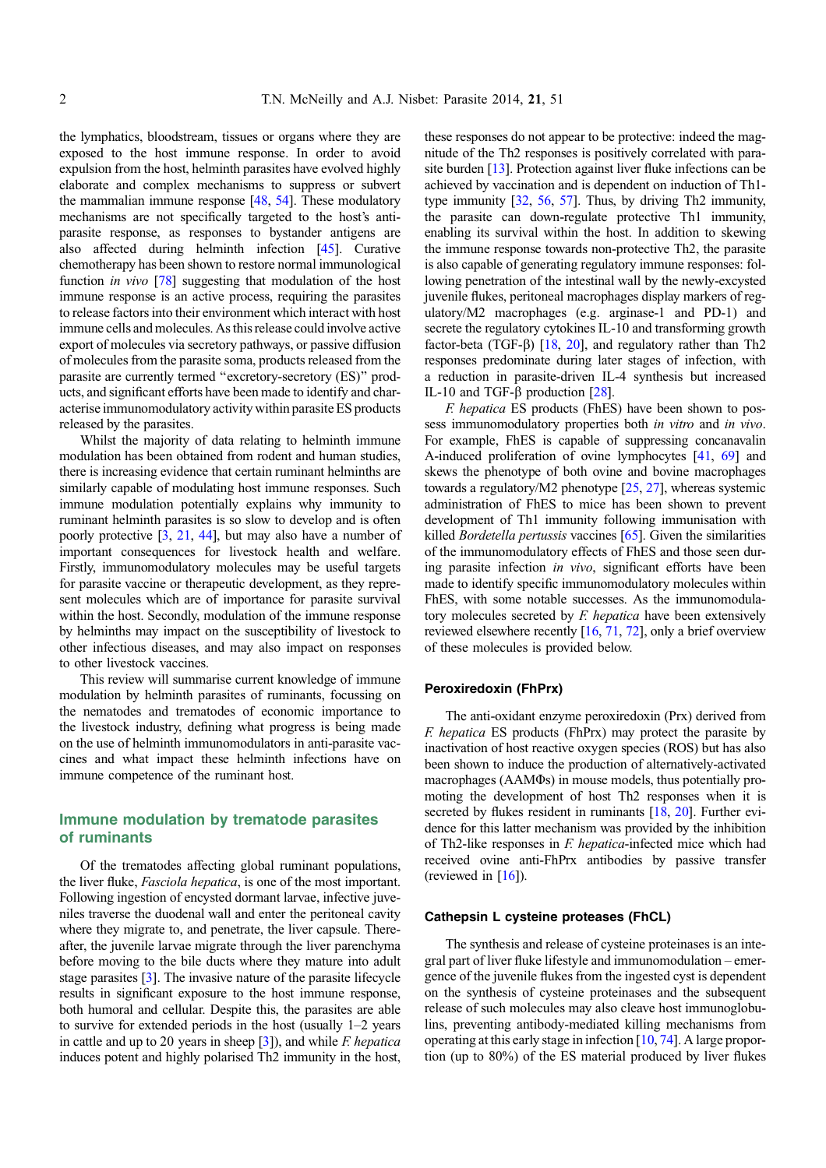the lymphatics, bloodstream, tissues or organs where they are exposed to the host immune response. In order to avoid expulsion from the host, helminth parasites have evolved highly elaborate and complex mechanisms to suppress or subvert the mammalian immune response [\[48](#page-8-0), [54](#page-8-0)]. These modulatory mechanisms are not specifically targeted to the host's antiparasite response, as responses to bystander antigens are also affected during helminth infection [\[45](#page-8-0)]. Curative chemotherapy has been shown to restore normal immunological function *in vivo* [[78](#page-9-0)] suggesting that modulation of the host immune response is an active process, requiring the parasites to release factors into their environment which interact with host immune cells and molecules. As this release could involve active export of molecules via secretory pathways, or passive diffusion of molecules from the parasite soma, products released from the parasite are currently termed ''excretory-secretory (ES)'' products, and significant efforts have been made to identify and characterise immunomodulatory activity within parasite ES products released by the parasites.

Whilst the majority of data relating to helminth immune modulation has been obtained from rodent and human studies, there is increasing evidence that certain ruminant helminths are similarly capable of modulating host immune responses. Such immune modulation potentially explains why immunity to ruminant helminth parasites is so slow to develop and is often poorly protective [\[3](#page-6-0), [21,](#page-7-0) [44](#page-8-0)], but may also have a number of important consequences for livestock health and welfare. Firstly, immunomodulatory molecules may be useful targets for parasite vaccine or therapeutic development, as they represent molecules which are of importance for parasite survival within the host. Secondly, modulation of the immune response by helminths may impact on the susceptibility of livestock to other infectious diseases, and may also impact on responses to other livestock vaccines.

This review will summarise current knowledge of immune modulation by helminth parasites of ruminants, focussing on the nematodes and trematodes of economic importance to the livestock industry, defining what progress is being made on the use of helminth immunomodulators in anti-parasite vaccines and what impact these helminth infections have on immune competence of the ruminant host.

# Immune modulation by trematode parasites of ruminants

Of the trematodes affecting global ruminant populations, the liver fluke, Fasciola hepatica, is one of the most important. Following ingestion of encysted dormant larvae, infective juveniles traverse the duodenal wall and enter the peritoneal cavity where they migrate to, and penetrate, the liver capsule. Thereafter, the juvenile larvae migrate through the liver parenchyma before moving to the bile ducts where they mature into adult stage parasites [[3](#page-6-0)]. The invasive nature of the parasite lifecycle results in significant exposure to the host immune response, both humoral and cellular. Despite this, the parasites are able to survive for extended periods in the host (usually 1–2 years in cattle and up to 20 years in sheep  $[3]$  $[3]$  $[3]$ ), and while *F. hepatica* induces potent and highly polarised Th2 immunity in the host,

these responses do not appear to be protective: indeed the magnitude of the Th2 responses is positively correlated with parasite burden [\[13\]](#page-7-0). Protection against liver fluke infections can be achieved by vaccination and is dependent on induction of Th1 type immunity [\[32,](#page-7-0) [56,](#page-8-0) [57](#page-8-0)]. Thus, by driving Th2 immunity, the parasite can down-regulate protective Th1 immunity, enabling its survival within the host. In addition to skewing the immune response towards non-protective Th2, the parasite is also capable of generating regulatory immune responses: following penetration of the intestinal wall by the newly-excysted juvenile flukes, peritoneal macrophages display markers of regulatory/M2 macrophages (e.g. arginase-1 and PD-1) and secrete the regulatory cytokines IL-10 and transforming growth factor-beta (TGF- $\beta$ ) [[18](#page-7-0), [20](#page-7-0)], and regulatory rather than Th2 responses predominate during later stages of infection, with a reduction in parasite-driven IL-4 synthesis but increased IL-10 and TGF- $\beta$  production [\[28\]](#page-7-0).

F. hepatica ES products (FhES) have been shown to possess immunomodulatory properties both *in vitro* and *in vivo*. For example, FhES is capable of suppressing concanavalin A-induced proliferation of ovine lymphocytes [[41](#page-8-0), [69\]](#page-8-0) and skews the phenotype of both ovine and bovine macrophages towards a regulatory/M2 phenotype [\[25,](#page-7-0) [27](#page-7-0)], whereas systemic administration of FhES to mice has been shown to prevent development of Th1 immunity following immunisation with killed Bordetella pertussis vaccines [\[65](#page-8-0)]. Given the similarities of the immunomodulatory effects of FhES and those seen during parasite infection in vivo, significant efforts have been made to identify specific immunomodulatory molecules within FhES, with some notable successes. As the immunomodulatory molecules secreted by  $F$ . hepatica have been extensively reviewed elsewhere recently [\[16,](#page-7-0) [71](#page-9-0), [72\]](#page-9-0), only a brief overview of these molecules is provided below.

## Peroxiredoxin (FhPrx)

The anti-oxidant enzyme peroxiredoxin (Prx) derived from F. hepatica ES products (FhPrx) may protect the parasite by inactivation of host reactive oxygen species (ROS) but has also been shown to induce the production of alternatively-activated macrophages (AAM $\Phi$ s) in mouse models, thus potentially promoting the development of host Th2 responses when it is secreted by flukes resident in ruminants [\[18,](#page-7-0) [20](#page-7-0)]. Further evidence for this latter mechanism was provided by the inhibition of Th2-like responses in F. hepatica-infected mice which had received ovine anti-FhPrx antibodies by passive transfer (reviewed in [\[16\]](#page-7-0)).

# Cathepsin L cysteine proteases (FhCL)

The synthesis and release of cysteine proteinases is an integral part of liver fluke lifestyle and immunomodulation – emergence of the juvenile flukes from the ingested cyst is dependent on the synthesis of cysteine proteinases and the subsequent release of such molecules may also cleave host immunoglobulins, preventing antibody-mediated killing mechanisms from operating at this early stage in infection [[10,](#page-7-0) [74](#page-9-0)]. A large proportion (up to 80%) of the ES material produced by liver flukes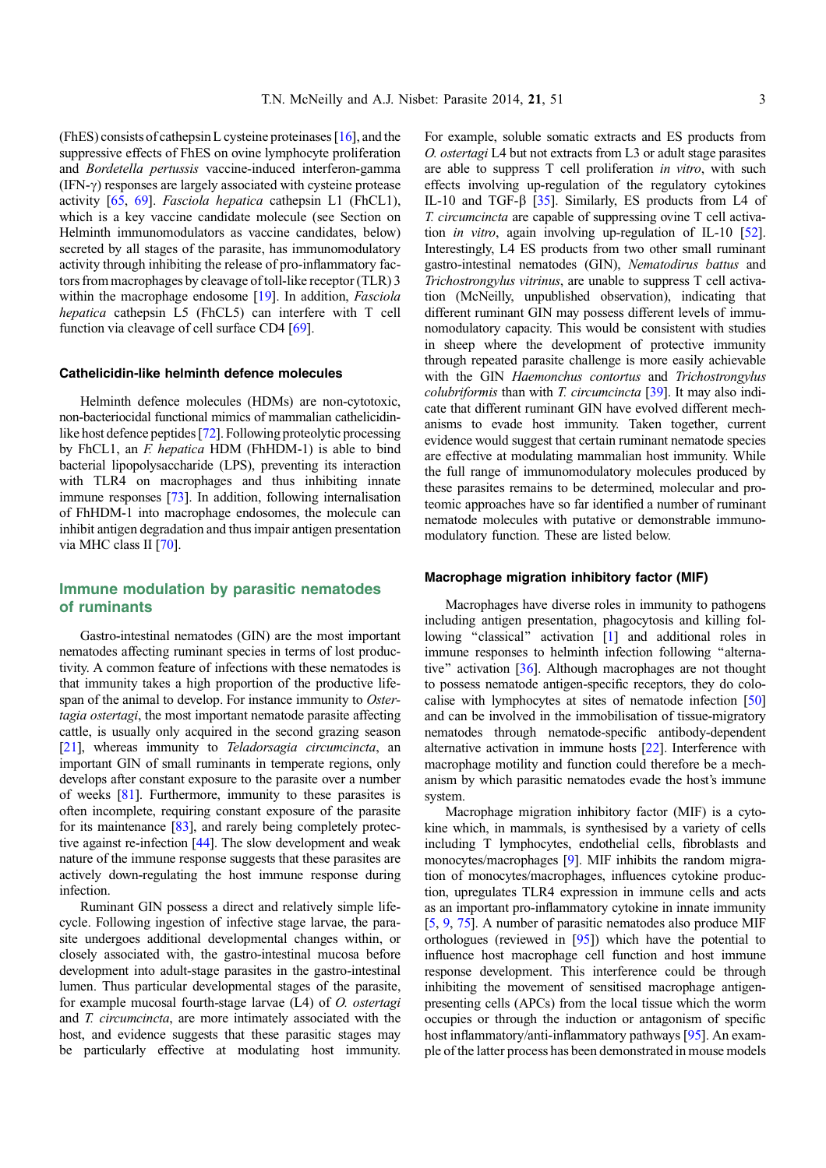(FhES) consists of cathepsin L cysteine proteinases [\[16\]](#page-7-0), and the suppressive effects of FhES on ovine lymphocyte proliferation and Bordetella pertussis vaccine-induced interferon-gamma  $(IFN-\gamma)$  responses are largely associated with cysteine protease activity [[65](#page-8-0), [69](#page-8-0)]. Fasciola hepatica cathepsin L1 (FhCL1), which is a key vaccine candidate molecule (see Section on Helminth immunomodulators as vaccine candidates, below) secreted by all stages of the parasite, has immunomodulatory activity through inhibiting the release of pro-inflammatory factors from macrophages by cleavage of toll-like receptor (TLR) 3 within the macrophage endosome [\[19\]](#page-7-0). In addition, *Fasciola* hepatica cathepsin L5 (FhCL5) can interfere with T cell function via cleavage of cell surface CD4 [\[69](#page-8-0)].

## Cathelicidin-like helminth defence molecules

Helminth defence molecules (HDMs) are non-cytotoxic, non-bacteriocidal functional mimics of mammalian cathelicidinlike host defence peptides [\[72\]](#page-9-0). Following proteolytic processing by FhCL1, an F. hepatica HDM (FhHDM-1) is able to bind bacterial lipopolysaccharide (LPS), preventing its interaction with TLR4 on macrophages and thus inhibiting innate immune responses [[73](#page-9-0)]. In addition, following internalisation of FhHDM-1 into macrophage endosomes, the molecule can inhibit antigen degradation and thus impair antigen presentation via MHC class II [\[70\]](#page-9-0).

# Immune modulation by parasitic nematodes of ruminants

Gastro-intestinal nematodes (GIN) are the most important nematodes affecting ruminant species in terms of lost productivity. A common feature of infections with these nematodes is that immunity takes a high proportion of the productive lifespan of the animal to develop. For instance immunity to Ostertagia ostertagi, the most important nematode parasite affecting cattle, is usually only acquired in the second grazing season [[21](#page-7-0)], whereas immunity to Teladorsagia circumcincta, an important GIN of small ruminants in temperate regions, only develops after constant exposure to the parasite over a number of weeks [\[81\]](#page-9-0). Furthermore, immunity to these parasites is often incomplete, requiring constant exposure of the parasite for its maintenance [\[83\]](#page-9-0), and rarely being completely protective against re-infection [\[44\]](#page-8-0). The slow development and weak nature of the immune response suggests that these parasites are actively down-regulating the host immune response during infection.

Ruminant GIN possess a direct and relatively simple lifecycle. Following ingestion of infective stage larvae, the parasite undergoes additional developmental changes within, or closely associated with, the gastro-intestinal mucosa before development into adult-stage parasites in the gastro-intestinal lumen. Thus particular developmental stages of the parasite, for example mucosal fourth-stage larvae (L4) of O. ostertagi and T. circumcincta, are more intimately associated with the host, and evidence suggests that these parasitic stages may be particularly effective at modulating host immunity. For example, soluble somatic extracts and ES products from O. ostertagi L4 but not extracts from L3 or adult stage parasites are able to suppress T cell proliferation in vitro, with such effects involving up-regulation of the regulatory cytokines IL-10 and TGF- $\beta$  [[35](#page-7-0)]. Similarly, ES products from L4 of T. circumcincta are capable of suppressing ovine T cell activation in vitro, again involving up-regulation of IL-10 [[52](#page-8-0)]. Interestingly, L4 ES products from two other small ruminant gastro-intestinal nematodes (GIN), Nematodirus battus and Trichostrongylus vitrinus, are unable to suppress T cell activation (McNeilly, unpublished observation), indicating that different ruminant GIN may possess different levels of immunomodulatory capacity. This would be consistent with studies in sheep where the development of protective immunity through repeated parasite challenge is more easily achievable with the GIN Haemonchus contortus and Trichostrongylus colubriformis than with T. circumcincta [\[39](#page-7-0)]. It may also indicate that different ruminant GIN have evolved different mechanisms to evade host immunity. Taken together, current evidence would suggest that certain ruminant nematode species are effective at modulating mammalian host immunity. While the full range of immunomodulatory molecules produced by these parasites remains to be determined, molecular and proteomic approaches have so far identified a number of ruminant nematode molecules with putative or demonstrable immunomodulatory function. These are listed below.

#### Macrophage migration inhibitory factor (MIF)

Macrophages have diverse roles in immunity to pathogens including antigen presentation, phagocytosis and killing fol-lowing "classical" activation [\[1\]](#page-6-0) and additional roles in immune responses to helminth infection following "alternative'' activation [\[36\]](#page-7-0). Although macrophages are not thought to possess nematode antigen-specific receptors, they do colocalise with lymphocytes at sites of nematode infection [\[50\]](#page-8-0) and can be involved in the immobilisation of tissue-migratory nematodes through nematode-specific antibody-dependent alternative activation in immune hosts [[22](#page-7-0)]. Interference with macrophage motility and function could therefore be a mechanism by which parasitic nematodes evade the host's immune system.

Macrophage migration inhibitory factor (MIF) is a cytokine which, in mammals, is synthesised by a variety of cells including T lymphocytes, endothelial cells, fibroblasts and monocytes/macrophages [\[9](#page-6-0)]. MIF inhibits the random migration of monocytes/macrophages, influences cytokine production, upregulates TLR4 expression in immune cells and acts as an important pro-inflammatory cytokine in innate immunity [\[5,](#page-6-0) [9,](#page-6-0) [75\]](#page-9-0). A number of parasitic nematodes also produce MIF orthologues (reviewed in [\[95\]](#page-9-0)) which have the potential to influence host macrophage cell function and host immune response development. This interference could be through inhibiting the movement of sensitised macrophage antigenpresenting cells (APCs) from the local tissue which the worm occupies or through the induction or antagonism of specific host inflammatory/anti-inflammatory pathways [[95](#page-9-0)]. An example of the latter process has been demonstrated in mouse models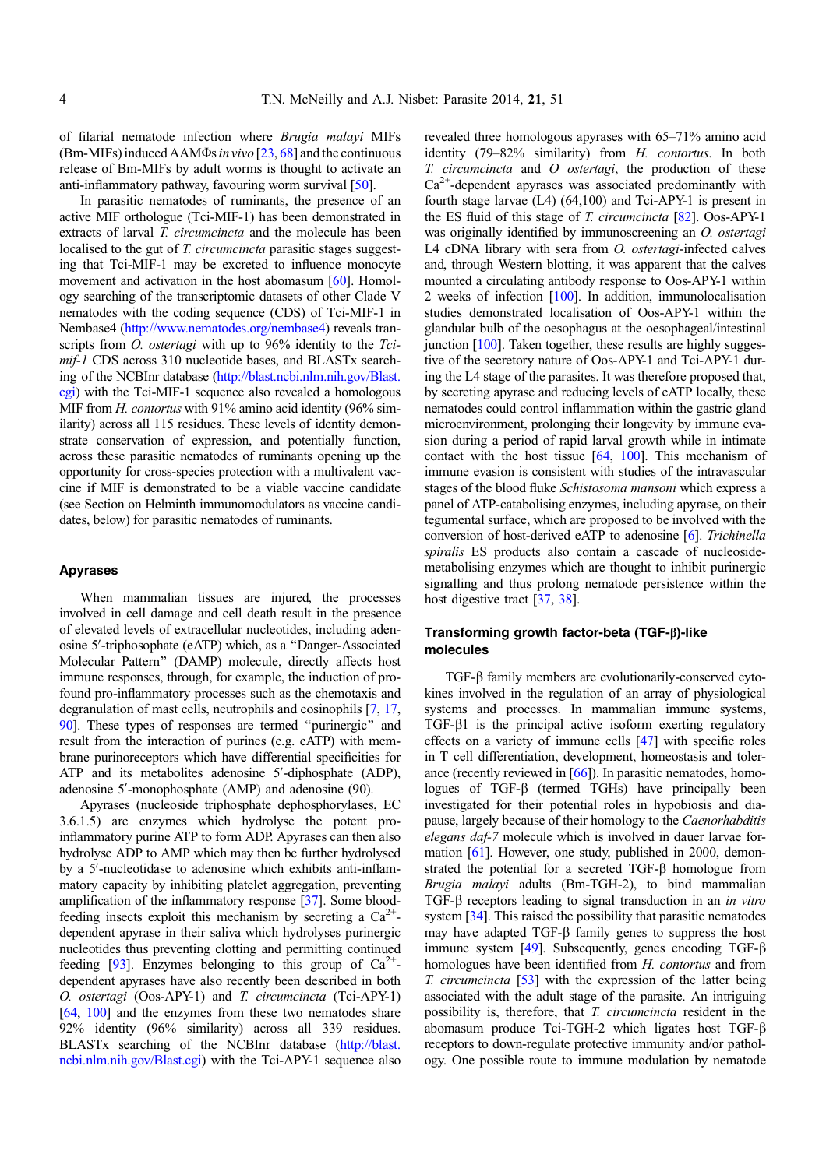of filarial nematode infection where Brugia malayi MIFs (Bm-MIFs) induced AAM $\Phi$ s in vivo [\[23,](#page-7-0) [68\]](#page-8-0) and the continuous release of Bm-MIFs by adult worms is thought to activate an anti-inflammatory pathway, favouring worm survival [[50](#page-8-0)].

In parasitic nematodes of ruminants, the presence of an active MIF orthologue (Tci-MIF-1) has been demonstrated in extracts of larval T. circumcincta and the molecule has been localised to the gut of T. *circumcincta* parasitic stages suggesting that Tci-MIF-1 may be excreted to influence monocyte movement and activation in the host abomasum [[60\]](#page-8-0). Homology searching of the transcriptomic datasets of other Clade V nematodes with the coding sequence (CDS) of Tci-MIF-1 in Nembase4 ([http://www.nematodes.org/nembase4\)](http://www.nematodes.org/nembase4) reveals transcripts from *O. ostertagi* with up to 96% identity to the Tcimif-1 CDS across 310 nucleotide bases, and BLASTx searching of the NCBInr database ([http://blast.ncbi.nlm.nih.gov/Blast.](http://blast.ncbi.nlm.nih.gov/Blast.cgi) [cgi](http://blast.ncbi.nlm.nih.gov/Blast.cgi)) with the Tci-MIF-1 sequence also revealed a homologous MIF from H. contortus with 91% amino acid identity (96% similarity) across all 115 residues. These levels of identity demonstrate conservation of expression, and potentially function, across these parasitic nematodes of ruminants opening up the opportunity for cross-species protection with a multivalent vaccine if MIF is demonstrated to be a viable vaccine candidate (see Section on Helminth immunomodulators as vaccine candidates, below) for parasitic nematodes of ruminants.

## Apyrases

When mammalian tissues are injured, the processes involved in cell damage and cell death result in the presence of elevated levels of extracellular nucleotides, including adenosine 5'-triphosophate (eATP) which, as a "Danger-Associated Molecular Pattern'' (DAMP) molecule, directly affects host immune responses, through, for example, the induction of profound pro-inflammatory processes such as the chemotaxis and degranulation of mast cells, neutrophils and eosinophils [[7](#page-6-0), [17](#page-7-0), [90](#page-9-0)]. These types of responses are termed ''purinergic'' and result from the interaction of purines (e.g. eATP) with membrane purinoreceptors which have differential specificities for ATP and its metabolites adenosine 5'-diphosphate (ADP), adenosine 5'-monophosphate (AMP) and adenosine (90).

Apyrases (nucleoside triphosphate dephosphorylases, EC 3.6.1.5) are enzymes which hydrolyse the potent proinflammatory purine ATP to form ADP. Apyrases can then also hydrolyse ADP to AMP which may then be further hydrolysed by a 5'-nucleotidase to adenosine which exhibits anti-inflammatory capacity by inhibiting platelet aggregation, preventing amplification of the inflammatory response [[37](#page-7-0)]. Some bloodfeeding insects exploit this mechanism by secreting a  $Ca^{2+}$ dependent apyrase in their saliva which hydrolyses purinergic nucleotides thus preventing clotting and permitting continued feeding [\[93\]](#page-9-0). Enzymes belonging to this group of  $Ca^{2+}$ dependent apyrases have also recently been described in both O. ostertagi (Oos-APY-1) and T. circumcincta (Tci-APY-1) [[64](#page-8-0), [100](#page-10-0)] and the enzymes from these two nematodes share 92% identity (96% similarity) across all 339 residues. BLASTx searching of the NCBInr database [\(http://blast.](http://blast.ncbi.nlm.nih.gov/Blast.cgi) [ncbi.nlm.nih.gov/Blast.cgi\)](http://blast.ncbi.nlm.nih.gov/Blast.cgi) with the Tci-APY-1 sequence also

revealed three homologous apyrases with 65–71% amino acid identity (79–82% similarity) from H. contortus. In both T. circumcincta and O ostertagi, the production of these  $Ca<sup>2+</sup>$ -dependent apyrases was associated predominantly with fourth stage larvae (L4) (64,100) and Tci-APY-1 is present in the ES fluid of this stage of T. circumcincta [[82](#page-9-0)]. Oos-APY-1 was originally identified by immunoscreening an O. ostertagi L4 cDNA library with sera from O. ostertagi-infected calves and, through Western blotting, it was apparent that the calves mounted a circulating antibody response to Oos-APY-1 within 2 weeks of infection [\[100\]](#page-10-0). In addition, immunolocalisation studies demonstrated localisation of Oos-APY-1 within the glandular bulb of the oesophagus at the oesophageal/intestinal junction [\[100\]](#page-10-0). Taken together, these results are highly suggestive of the secretory nature of Oos-APY-1 and Tci-APY-1 during the L4 stage of the parasites. It was therefore proposed that, by secreting apyrase and reducing levels of eATP locally, these nematodes could control inflammation within the gastric gland microenvironment, prolonging their longevity by immune evasion during a period of rapid larval growth while in intimate contact with the host tissue [\[64,](#page-8-0) [100\]](#page-10-0). This mechanism of immune evasion is consistent with studies of the intravascular stages of the blood fluke Schistosoma mansoni which express a panel of ATP-catabolising enzymes, including apyrase, on their tegumental surface, which are proposed to be involved with the conversion of host-derived eATP to adenosine [[6\]](#page-6-0). Trichinella spiralis ES products also contain a cascade of nucleosidemetabolising enzymes which are thought to inhibit purinergic signalling and thus prolong nematode persistence within the host digestive tract [[37](#page-7-0), [38\]](#page-7-0).

## Transforming growth factor-beta (TGF- $\beta$ )-like molecules

TGF- $\beta$  family members are evolutionarily-conserved cytokines involved in the regulation of an array of physiological systems and processes. In mammalian immune systems,  $TGF- $\beta$ 1 is the principal active isoform exerting regulatory$ effects on a variety of immune cells [[47](#page-8-0)] with specific roles in T cell differentiation, development, homeostasis and tolerance (recently reviewed in [[66\]](#page-8-0)). In parasitic nematodes, homologues of  $TGF- $\beta$  (termed TGHs) have principally been$ investigated for their potential roles in hypobiosis and diapause, largely because of their homology to the Caenorhabditis elegans daf-7 molecule which is involved in dauer larvae formation [[61](#page-8-0)]. However, one study, published in 2000, demonstrated the potential for a secreted TGF- $\beta$  homologue from Brugia malayi adults (Bm-TGH-2), to bind mammalian TGF- $\beta$  receptors leading to signal transduction in an in vitro system [\[34\]](#page-7-0). This raised the possibility that parasitic nematodes may have adapted  $TGF- $\beta$  family genes to suppress the host$ immune system  $[49]$  $[49]$  $[49]$ . Subsequently, genes encoding TGF- $\beta$ homologues have been identified from H. contortus and from T. circumcincta [\[53\]](#page-8-0) with the expression of the latter being associated with the adult stage of the parasite. An intriguing possibility is, therefore, that T. circumcincta resident in the abomasum produce Tci-TGH-2 which ligates host TGF- $\beta$ receptors to down-regulate protective immunity and/or pathology. One possible route to immune modulation by nematode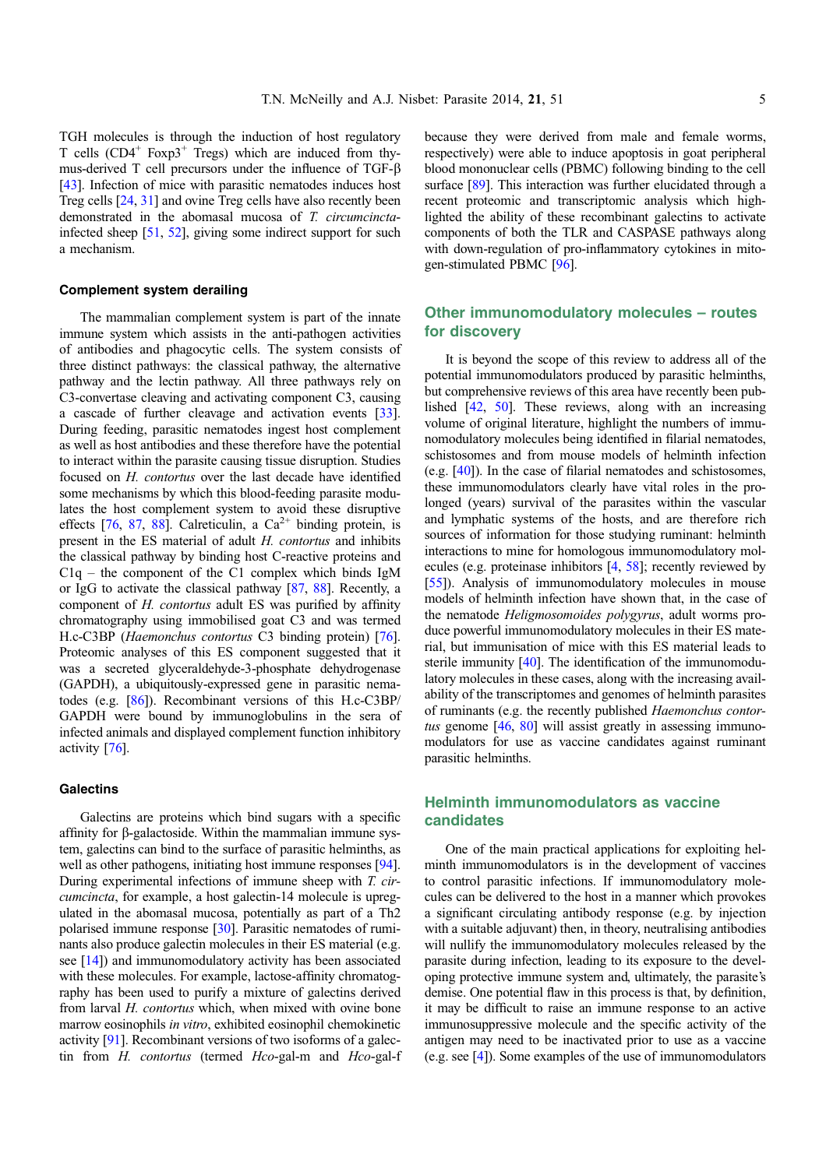TGH molecules is through the induction of host regulatory T cells  $(CD4<sup>+</sup> Foxp3<sup>+</sup> Tregs)$  which are induced from thymus-derived T cell precursors under the influence of TGF- $\beta$ [[43](#page-8-0)]. Infection of mice with parasitic nematodes induces host Treg cells [\[24](#page-7-0), [31\]](#page-7-0) and ovine Treg cells have also recently been demonstrated in the abomasal mucosa of T. circumcinctainfected sheep [\[51](#page-8-0), [52](#page-8-0)], giving some indirect support for such a mechanism.

#### Complement system derailing

The mammalian complement system is part of the innate immune system which assists in the anti-pathogen activities of antibodies and phagocytic cells. The system consists of three distinct pathways: the classical pathway, the alternative pathway and the lectin pathway. All three pathways rely on C3-convertase cleaving and activating component C3, causing a cascade of further cleavage and activation events [\[33](#page-7-0)]. During feeding, parasitic nematodes ingest host complement as well as host antibodies and these therefore have the potential to interact within the parasite causing tissue disruption. Studies focused on H. contortus over the last decade have identified some mechanisms by which this blood-feeding parasite modulates the host complement system to avoid these disruptive effects [[76](#page-9-0), [87,](#page-9-0) [88](#page-9-0)]. Calreticulin, a  $Ca^{2+}$  binding protein, is present in the ES material of adult H. contortus and inhibits the classical pathway by binding host C-reactive proteins and  $C1q$  – the component of the  $C1$  complex which binds IgM or IgG to activate the classical pathway [\[87,](#page-9-0) [88](#page-9-0)]. Recently, a component of H. contortus adult ES was purified by affinity chromatography using immobilised goat C3 and was termed H.c-C3BP (Haemonchus contortus C3 binding protein) [\[76](#page-9-0)]. Proteomic analyses of this ES component suggested that it was a secreted glyceraldehyde-3-phosphate dehydrogenase (GAPDH), a ubiquitously-expressed gene in parasitic nematodes (e.g. [[86\]](#page-9-0)). Recombinant versions of this H.c-C3BP/ GAPDH were bound by immunoglobulins in the sera of infected animals and displayed complement function inhibitory activity [[76\]](#page-9-0).

#### **Galectins**

Galectins are proteins which bind sugars with a specific affinity for b-galactoside. Within the mammalian immune system, galectins can bind to the surface of parasitic helminths, as well as other pathogens, initiating host immune responses [\[94](#page-9-0)]. During experimental infections of immune sheep with T. circumcincta, for example, a host galectin-14 molecule is upregulated in the abomasal mucosa, potentially as part of a Th2 polarised immune response [\[30\]](#page-7-0). Parasitic nematodes of ruminants also produce galectin molecules in their ES material (e.g. see [\[14\]](#page-7-0)) and immunomodulatory activity has been associated with these molecules. For example, lactose-affinity chromatography has been used to purify a mixture of galectins derived from larval H. contortus which, when mixed with ovine bone marrow eosinophils in vitro, exhibited eosinophil chemokinetic activity [\[91\]](#page-9-0). Recombinant versions of two isoforms of a galectin from  $H$ . contortus (termed  $Hco$ -gal-m and  $Hco$ -gal-f because they were derived from male and female worms, respectively) were able to induce apoptosis in goat peripheral blood mononuclear cells (PBMC) following binding to the cell surface [\[89\]](#page-9-0). This interaction was further elucidated through a recent proteomic and transcriptomic analysis which highlighted the ability of these recombinant galectins to activate components of both the TLR and CASPASE pathways along with down-regulation of pro-inflammatory cytokines in mitogen-stimulated PBMC [\[96\]](#page-9-0).

# Other immunomodulatory molecules – routes for discovery

It is beyond the scope of this review to address all of the potential immunomodulators produced by parasitic helminths, but comprehensive reviews of this area have recently been published [\[42,](#page-8-0) [50\]](#page-8-0). These reviews, along with an increasing volume of original literature, highlight the numbers of immunomodulatory molecules being identified in filarial nematodes, schistosomes and from mouse models of helminth infection (e.g. [\[40\]](#page-8-0)). In the case of filarial nematodes and schistosomes, these immunomodulators clearly have vital roles in the prolonged (years) survival of the parasites within the vascular and lymphatic systems of the hosts, and are therefore rich sources of information for those studying ruminant: helminth interactions to mine for homologous immunomodulatory molecules (e.g. proteinase inhibitors [[4,](#page-6-0) [58\]](#page-8-0); recently reviewed by [\[55\]](#page-8-0)). Analysis of immunomodulatory molecules in mouse models of helminth infection have shown that, in the case of the nematode Heligmosomoides polygyrus, adult worms produce powerful immunomodulatory molecules in their ES material, but immunisation of mice with this ES material leads to sterile immunity [\[40](#page-8-0)]. The identification of the immunomodulatory molecules in these cases, along with the increasing availability of the transcriptomes and genomes of helminth parasites of ruminants (e.g. the recently published Haemonchus contor-tus genome [\[46](#page-8-0), [80\]](#page-9-0) will assist greatly in assessing immunomodulators for use as vaccine candidates against ruminant parasitic helminths.

# Helminth immunomodulators as vaccine candidates

One of the main practical applications for exploiting helminth immunomodulators is in the development of vaccines to control parasitic infections. If immunomodulatory molecules can be delivered to the host in a manner which provokes a significant circulating antibody response (e.g. by injection with a suitable adjuvant) then, in theory, neutralising antibodies will nullify the immunomodulatory molecules released by the parasite during infection, leading to its exposure to the developing protective immune system and, ultimately, the parasite's demise. One potential flaw in this process is that, by definition, it may be difficult to raise an immune response to an active immunosuppressive molecule and the specific activity of the antigen may need to be inactivated prior to use as a vaccine (e.g. see [\[4](#page-6-0)]). Some examples of the use of immunomodulators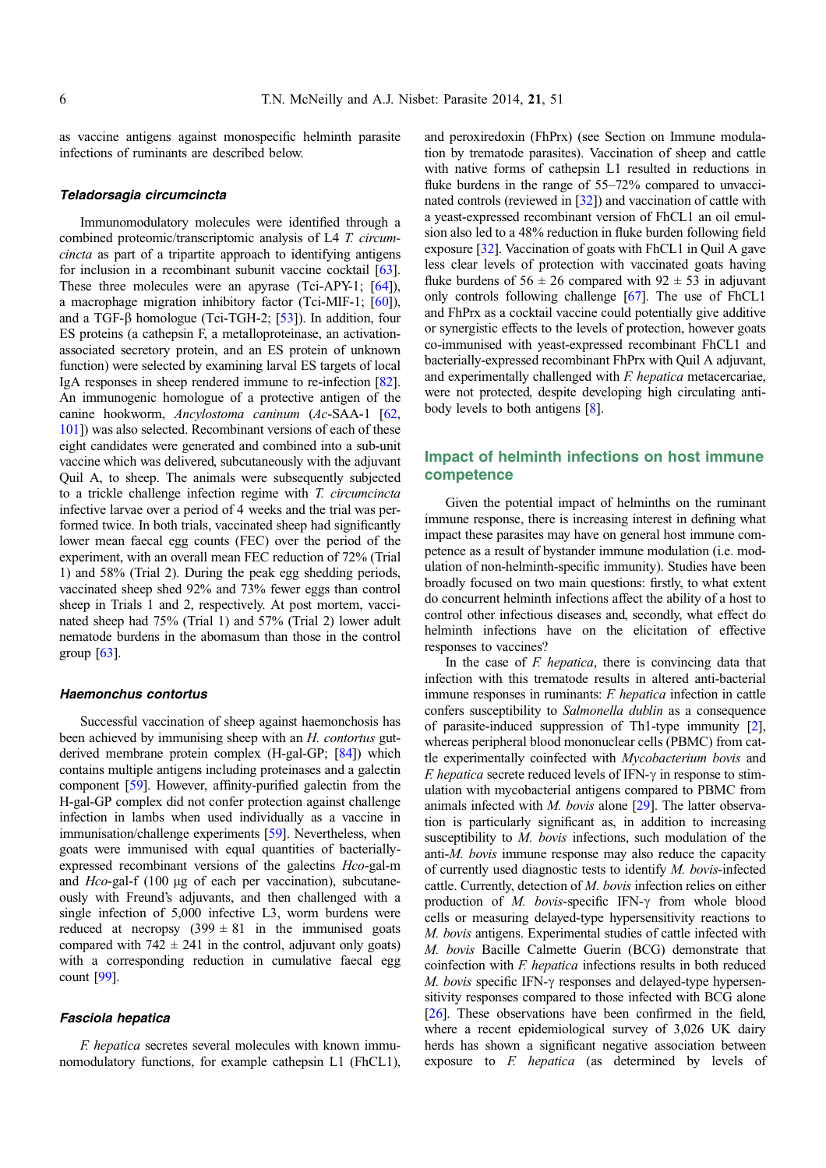as vaccine antigens against monospecific helminth parasite infections of ruminants are described below.

## Teladorsagia circumcincta

Immunomodulatory molecules were identified through a combined proteomic/transcriptomic analysis of L4 T. circumcincta as part of a tripartite approach to identifying antigens for inclusion in a recombinant subunit vaccine cocktail [\[63](#page-8-0)]. These three molecules were an apyrase (Tci-APY-1; [\[64\]](#page-8-0)), a macrophage migration inhibitory factor (Tci-MIF-1; [\[60\]](#page-8-0)), and a TGF- $\beta$  homologue (Tci-TGH-2; [\[53\]](#page-8-0)). In addition, four ES proteins (a cathepsin F, a metalloproteinase, an activationassociated secretory protein, and an ES protein of unknown function) were selected by examining larval ES targets of local IgA responses in sheep rendered immune to re-infection [\[82](#page-9-0)]. An immunogenic homologue of a protective antigen of the canine hookworm, Ancylostoma caninum (Ac-SAA-1 [[62](#page-8-0), [101](#page-10-0)]) was also selected. Recombinant versions of each of these eight candidates were generated and combined into a sub-unit vaccine which was delivered, subcutaneously with the adjuvant Quil A, to sheep. The animals were subsequently subjected to a trickle challenge infection regime with T. circumcincta infective larvae over a period of 4 weeks and the trial was performed twice. In both trials, vaccinated sheep had significantly lower mean faecal egg counts (FEC) over the period of the experiment, with an overall mean FEC reduction of 72% (Trial 1) and 58% (Trial 2). During the peak egg shedding periods, vaccinated sheep shed 92% and 73% fewer eggs than control sheep in Trials 1 and 2, respectively. At post mortem, vaccinated sheep had 75% (Trial 1) and 57% (Trial 2) lower adult nematode burdens in the abomasum than those in the control group [[63](#page-8-0)].

#### Haemonchus contortus

Successful vaccination of sheep against haemonchosis has been achieved by immunising sheep with an H. contortus gutderived membrane protein complex (H-gal-GP; [\[84\]](#page-9-0)) which contains multiple antigens including proteinases and a galectin component [\[59\]](#page-8-0). However, affinity-purified galectin from the H-gal-GP complex did not confer protection against challenge infection in lambs when used individually as a vaccine in immunisation/challenge experiments [[59](#page-8-0)]. Nevertheless, when goats were immunised with equal quantities of bacteriallyexpressed recombinant versions of the galectins Hco-gal-m and Hco-gal-f (100 µg of each per vaccination), subcutaneously with Freund's adjuvants, and then challenged with a single infection of 5,000 infective L3, worm burdens were reduced at necropsy  $(399 \pm 81)$  in the immunised goats compared with  $742 \pm 241$  in the control, adjuvant only goats) with a corresponding reduction in cumulative faecal egg count [[99](#page-10-0)].

#### Fasciola hepatica

F. hepatica secretes several molecules with known immunomodulatory functions, for example cathepsin L1 (FhCL1), and peroxiredoxin (FhPrx) (see Section on Immune modulation by trematode parasites). Vaccination of sheep and cattle with native forms of cathepsin L1 resulted in reductions in fluke burdens in the range of 55–72% compared to unvaccinated controls (reviewed in [\[32\]](#page-7-0)) and vaccination of cattle with a yeast-expressed recombinant version of FhCL1 an oil emulsion also led to a 48% reduction in fluke burden following field exposure [\[32\]](#page-7-0). Vaccination of goats with FhCL1 in Quil A gave less clear levels of protection with vaccinated goats having fluke burdens of  $56 \pm 26$  compared with  $92 \pm 53$  in adjuvant only controls following challenge [[67](#page-8-0)]. The use of FhCL1 and FhPrx as a cocktail vaccine could potentially give additive or synergistic effects to the levels of protection, however goats co-immunised with yeast-expressed recombinant FhCL1 and bacterially-expressed recombinant FhPrx with Quil A adjuvant, and experimentally challenged with F. hepatica metacercariae, were not protected, despite developing high circulating antibody levels to both antigens [\[8\]](#page-6-0).

# Impact of helminth infections on host immune competence

Given the potential impact of helminths on the ruminant immune response, there is increasing interest in defining what impact these parasites may have on general host immune competence as a result of bystander immune modulation (i.e. modulation of non-helminth-specific immunity). Studies have been broadly focused on two main questions: firstly, to what extent do concurrent helminth infections affect the ability of a host to control other infectious diseases and, secondly, what effect do helminth infections have on the elicitation of effective responses to vaccines?

In the case of  $F$ . *hepatica*, there is convincing data that infection with this trematode results in altered anti-bacterial immune responses in ruminants: F. hepatica infection in cattle confers susceptibility to Salmonella dublin as a consequence of parasite-induced suppression of Th1-type immunity [\[2](#page-6-0)], whereas peripheral blood mononuclear cells (PBMC) from cattle experimentally coinfected with Mycobacterium bovis and F. hepatica secrete reduced levels of IFN- $\gamma$  in response to stimulation with mycobacterial antigens compared to PBMC from animals infected with  $M$ . bovis alone [\[29\]](#page-7-0). The latter observation is particularly significant as, in addition to increasing susceptibility to M. bovis infections, such modulation of the anti-M. bovis immune response may also reduce the capacity of currently used diagnostic tests to identify M. bovis-infected cattle. Currently, detection of M. bovis infection relies on either production of  $M$ . bovis-specific IFN- $\gamma$  from whole blood cells or measuring delayed-type hypersensitivity reactions to M. bovis antigens. Experimental studies of cattle infected with M. bovis Bacille Calmette Guerin (BCG) demonstrate that coinfection with F. hepatica infections results in both reduced  $M.$  bovis specific IFN- $\gamma$  responses and delayed-type hypersensitivity responses compared to those infected with BCG alone [\[26\]](#page-7-0). These observations have been confirmed in the field, where a recent epidemiological survey of 3,026 UK dairy herds has shown a significant negative association between exposure to F. hepatica (as determined by levels of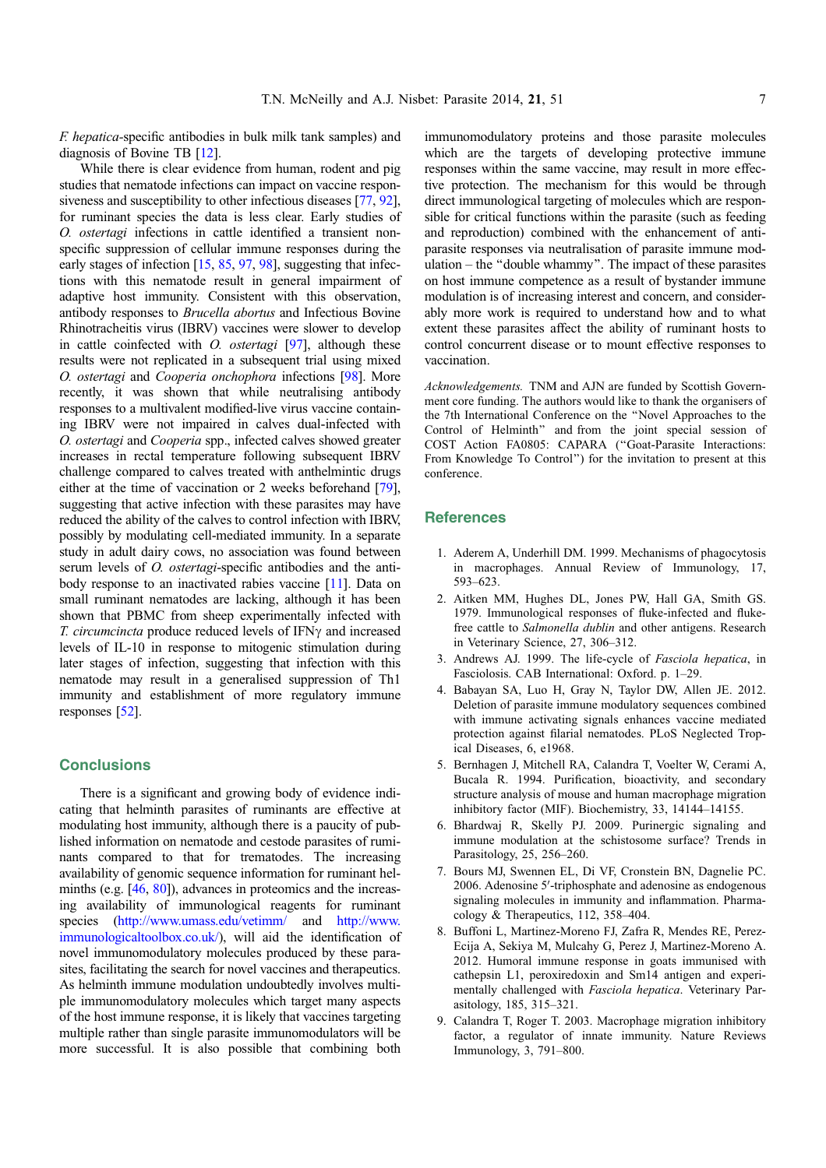<span id="page-6-0"></span>F. hepatica-specific antibodies in bulk milk tank samples) and diagnosis of Bovine TB [[12](#page-7-0)].

While there is clear evidence from human, rodent and pig studies that nematode infections can impact on vaccine responsiveness and susceptibility to other infectious diseases [[77](#page-9-0), [92](#page-9-0)], for ruminant species the data is less clear. Early studies of O. ostertagi infections in cattle identified a transient nonspecific suppression of cellular immune responses during the early stages of infection [\[15,](#page-7-0) [85](#page-9-0), [97](#page-10-0), [98\]](#page-10-0), suggesting that infections with this nematode result in general impairment of adaptive host immunity. Consistent with this observation, antibody responses to Brucella abortus and Infectious Bovine Rhinotracheitis virus (IBRV) vaccines were slower to develop in cattle coinfected with  $O$ . *ostertagi* [[97](#page-10-0)], although these results were not replicated in a subsequent trial using mixed O. ostertagi and Cooperia onchophora infections [\[98](#page-10-0)]. More recently, it was shown that while neutralising antibody responses to a multivalent modified-live virus vaccine containing IBRV were not impaired in calves dual-infected with O. ostertagi and Cooperia spp., infected calves showed greater increases in rectal temperature following subsequent IBRV challenge compared to calves treated with anthelmintic drugs either at the time of vaccination or 2 weeks beforehand [\[79](#page-9-0)], suggesting that active infection with these parasites may have reduced the ability of the calves to control infection with IBRV, possibly by modulating cell-mediated immunity. In a separate study in adult dairy cows, no association was found between serum levels of *O. ostertagi*-specific antibodies and the antibody response to an inactivated rabies vaccine [[11](#page-7-0)]. Data on small ruminant nematodes are lacking, although it has been shown that PBMC from sheep experimentally infected with T. circumcincta produce reduced levels of  $IFN\gamma$  and increased levels of IL-10 in response to mitogenic stimulation during later stages of infection, suggesting that infection with this nematode may result in a generalised suppression of Th1 immunity and establishment of more regulatory immune responses [[52](#page-8-0)].

# **Conclusions**

There is a significant and growing body of evidence indicating that helminth parasites of ruminants are effective at modulating host immunity, although there is a paucity of published information on nematode and cestode parasites of ruminants compared to that for trematodes. The increasing availability of genomic sequence information for ruminant hel-minths (e.g. [[46,](#page-8-0) [80](#page-9-0)]), advances in proteomics and the increasing availability of immunological reagents for ruminant species (<http://www.umass.edu/vetimm/> and [http://www.](http://www.immunologicaltoolbox.co.uk/) [immunologicaltoolbox.co.uk/\)](http://www.immunologicaltoolbox.co.uk/), will aid the identification of novel immunomodulatory molecules produced by these parasites, facilitating the search for novel vaccines and therapeutics. As helminth immune modulation undoubtedly involves multiple immunomodulatory molecules which target many aspects of the host immune response, it is likely that vaccines targeting multiple rather than single parasite immunomodulators will be more successful. It is also possible that combining both

immunomodulatory proteins and those parasite molecules which are the targets of developing protective immune responses within the same vaccine, may result in more effective protection. The mechanism for this would be through direct immunological targeting of molecules which are responsible for critical functions within the parasite (such as feeding and reproduction) combined with the enhancement of antiparasite responses via neutralisation of parasite immune modulation – the ''double whammy''. The impact of these parasites on host immune competence as a result of bystander immune modulation is of increasing interest and concern, and considerably more work is required to understand how and to what extent these parasites affect the ability of ruminant hosts to control concurrent disease or to mount effective responses to vaccination.

Acknowledgements. TNM and AJN are funded by Scottish Government core funding. The authors would like to thank the organisers of the 7th International Conference on the ''Novel Approaches to the Control of Helminth'' and from the joint special session of COST Action FA0805: CAPARA (''Goat-Parasite Interactions: From Knowledge To Control'') for the invitation to present at this conference.

# **References**

- 1. Aderem A, Underhill DM. 1999. Mechanisms of phagocytosis in macrophages. Annual Review of Immunology, 17, 593–623.
- 2. Aitken MM, Hughes DL, Jones PW, Hall GA, Smith GS. 1979. Immunological responses of fluke-infected and flukefree cattle to Salmonella dublin and other antigens. Research in Veterinary Science, 27, 306–312.
- 3. Andrews AJ. 1999. The life-cycle of Fasciola hepatica, in Fasciolosis. CAB International: Oxford. p. 1–29.
- 4. Babayan SA, Luo H, Gray N, Taylor DW, Allen JE. 2012. Deletion of parasite immune modulatory sequences combined with immune activating signals enhances vaccine mediated protection against filarial nematodes. PLoS Neglected Tropical Diseases, 6, e1968.
- 5. Bernhagen J, Mitchell RA, Calandra T, Voelter W, Cerami A, Bucala R. 1994. Purification, bioactivity, and secondary structure analysis of mouse and human macrophage migration inhibitory factor (MIF). Biochemistry, 33, 14144–14155.
- 6. Bhardwaj R, Skelly PJ. 2009. Purinergic signaling and immune modulation at the schistosome surface? Trends in Parasitology, 25, 256–260.
- 7. Bours MJ, Swennen EL, Di VF, Cronstein BN, Dagnelie PC. 2006. Adenosine 5'-triphosphate and adenosine as endogenous signaling molecules in immunity and inflammation. Pharmacology & Therapeutics, 112, 358–404.
- 8. Buffoni L, Martinez-Moreno FJ, Zafra R, Mendes RE, Perez-Ecija A, Sekiya M, Mulcahy G, Perez J, Martinez-Moreno A. 2012. Humoral immune response in goats immunised with cathepsin L1, peroxiredoxin and Sm14 antigen and experimentally challenged with Fasciola hepatica. Veterinary Parasitology, 185, 315–321.
- 9. Calandra T, Roger T. 2003. Macrophage migration inhibitory factor, a regulator of innate immunity. Nature Reviews Immunology, 3, 791–800.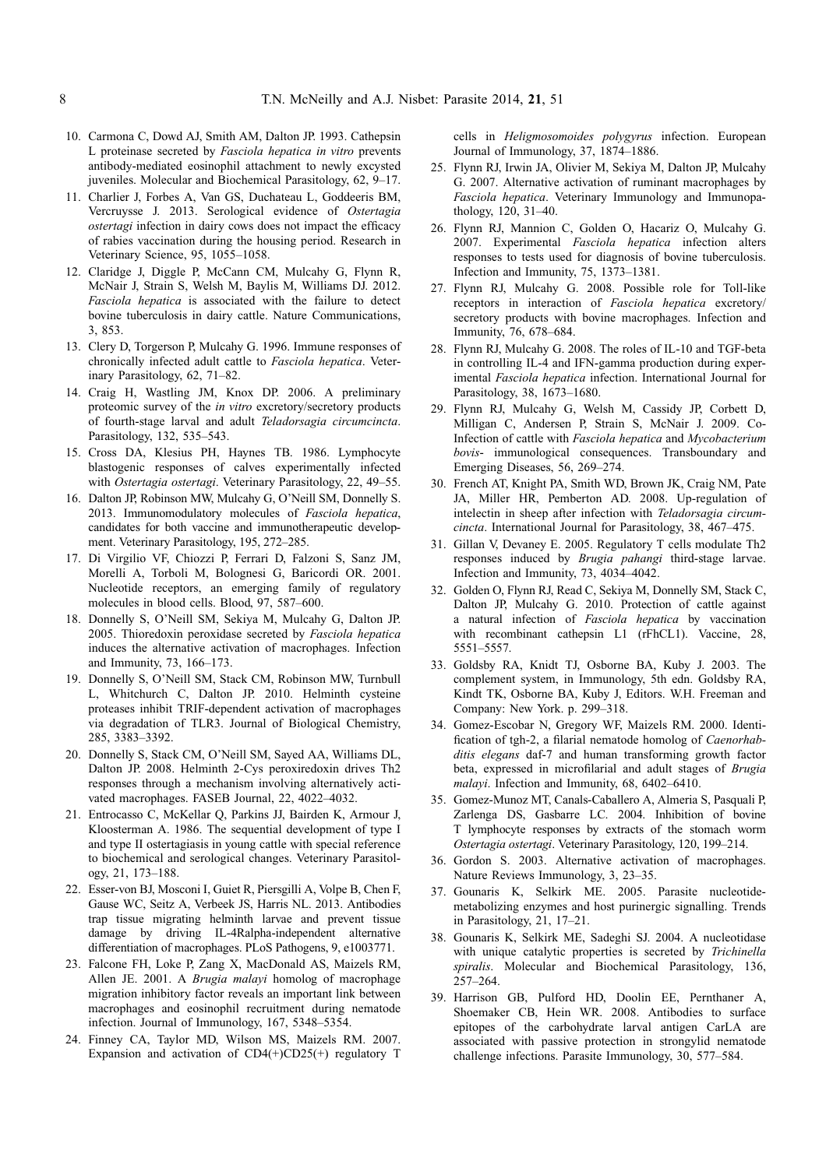- <span id="page-7-0"></span>10. Carmona C, Dowd AJ, Smith AM, Dalton JP. 1993. Cathepsin L proteinase secreted by Fasciola hepatica in vitro prevents antibody-mediated eosinophil attachment to newly excysted juveniles. Molecular and Biochemical Parasitology, 62, 9–17.
- 11. Charlier J, Forbes A, Van GS, Duchateau L, Goddeeris BM, Vercruysse J. 2013. Serological evidence of Ostertagia ostertagi infection in dairy cows does not impact the efficacy of rabies vaccination during the housing period. Research in Veterinary Science, 95, 1055–1058.
- 12. Claridge J, Diggle P, McCann CM, Mulcahy G, Flynn R, McNair J, Strain S, Welsh M, Baylis M, Williams DJ. 2012. Fasciola hepatica is associated with the failure to detect bovine tuberculosis in dairy cattle. Nature Communications, 3, 853.
- 13. Clery D, Torgerson P, Mulcahy G. 1996. Immune responses of chronically infected adult cattle to Fasciola hepatica. Veterinary Parasitology, 62, 71–82.
- 14. Craig H, Wastling JM, Knox DP. 2006. A preliminary proteomic survey of the in vitro excretory/secretory products of fourth-stage larval and adult Teladorsagia circumcincta. Parasitology, 132, 535–543.
- 15. Cross DA, Klesius PH, Haynes TB. 1986. Lymphocyte blastogenic responses of calves experimentally infected with Ostertagia ostertagi. Veterinary Parasitology, 22, 49–55.
- 16. Dalton JP, Robinson MW, Mulcahy G, O'Neill SM, Donnelly S. 2013. Immunomodulatory molecules of Fasciola hepatica, candidates for both vaccine and immunotherapeutic development. Veterinary Parasitology, 195, 272–285.
- 17. Di Virgilio VF, Chiozzi P, Ferrari D, Falzoni S, Sanz JM, Morelli A, Torboli M, Bolognesi G, Baricordi OR. 2001. Nucleotide receptors, an emerging family of regulatory molecules in blood cells. Blood, 97, 587–600.
- 18. Donnelly S, O'Neill SM, Sekiya M, Mulcahy G, Dalton JP. 2005. Thioredoxin peroxidase secreted by Fasciola hepatica induces the alternative activation of macrophages. Infection and Immunity, 73, 166–173.
- 19. Donnelly S, O'Neill SM, Stack CM, Robinson MW, Turnbull L, Whitchurch C, Dalton JP. 2010. Helminth cysteine proteases inhibit TRIF-dependent activation of macrophages via degradation of TLR3. Journal of Biological Chemistry, 285, 3383–3392.
- 20. Donnelly S, Stack CM, O'Neill SM, Sayed AA, Williams DL, Dalton JP. 2008. Helminth 2-Cys peroxiredoxin drives Th2 responses through a mechanism involving alternatively activated macrophages. FASEB Journal, 22, 4022–4032.
- 21. Entrocasso C, McKellar Q, Parkins JJ, Bairden K, Armour J, Kloosterman A. 1986. The sequential development of type I and type II ostertagiasis in young cattle with special reference to biochemical and serological changes. Veterinary Parasitology, 21, 173–188.
- 22. Esser-von BJ, Mosconi I, Guiet R, Piersgilli A, Volpe B, Chen F, Gause WC, Seitz A, Verbeek JS, Harris NL. 2013. Antibodies trap tissue migrating helminth larvae and prevent tissue damage by driving IL-4Ralpha-independent alternative differentiation of macrophages. PLoS Pathogens, 9, e1003771.
- 23. Falcone FH, Loke P, Zang X, MacDonald AS, Maizels RM, Allen JE. 2001. A Brugia malayi homolog of macrophage migration inhibitory factor reveals an important link between macrophages and eosinophil recruitment during nematode infection. Journal of Immunology, 167, 5348–5354.
- 24. Finney CA, Taylor MD, Wilson MS, Maizels RM. 2007. Expansion and activation of  $CD4(+)CD25(+)$  regulatory T

cells in Heligmosomoides polygyrus infection. European Journal of Immunology, 37, 1874–1886.

- 25. Flynn RJ, Irwin JA, Olivier M, Sekiya M, Dalton JP, Mulcahy G. 2007. Alternative activation of ruminant macrophages by Fasciola hepatica. Veterinary Immunology and Immunopathology, 120, 31–40.
- 26. Flynn RJ, Mannion C, Golden O, Hacariz O, Mulcahy G. 2007. Experimental Fasciola hepatica infection alters responses to tests used for diagnosis of bovine tuberculosis. Infection and Immunity, 75, 1373–1381.
- 27. Flynn RJ, Mulcahy G. 2008. Possible role for Toll-like receptors in interaction of Fasciola hepatica excretory/ secretory products with bovine macrophages. Infection and Immunity, 76, 678–684.
- 28. Flynn RJ, Mulcahy G. 2008. The roles of IL-10 and TGF-beta in controlling IL-4 and IFN-gamma production during experimental Fasciola hepatica infection. International Journal for Parasitology, 38, 1673–1680.
- 29. Flynn RJ, Mulcahy G, Welsh M, Cassidy JP, Corbett D, Milligan C, Andersen P, Strain S, McNair J. 2009. Co-Infection of cattle with Fasciola hepatica and Mycobacterium bovis- immunological consequences. Transboundary and Emerging Diseases, 56, 269–274.
- 30. French AT, Knight PA, Smith WD, Brown JK, Craig NM, Pate JA, Miller HR, Pemberton AD. 2008. Up-regulation of intelectin in sheep after infection with Teladorsagia circumcincta. International Journal for Parasitology, 38, 467–475.
- 31. Gillan V, Devaney E. 2005. Regulatory T cells modulate Th2 responses induced by Brugia pahangi third-stage larvae. Infection and Immunity, 73, 4034–4042.
- 32. Golden O, Flynn RJ, Read C, Sekiya M, Donnelly SM, Stack C, Dalton JP, Mulcahy G. 2010. Protection of cattle against a natural infection of Fasciola hepatica by vaccination with recombinant cathepsin L1 (rFhCL1). Vaccine, 28, 5551–5557.
- 33. Goldsby RA, Knidt TJ, Osborne BA, Kuby J. 2003. The complement system, in Immunology, 5th edn. Goldsby RA, Kindt TK, Osborne BA, Kuby J, Editors. W.H. Freeman and Company: New York. p. 299–318.
- 34. Gomez-Escobar N, Gregory WF, Maizels RM. 2000. Identification of tgh-2, a filarial nematode homolog of Caenorhabditis elegans daf-7 and human transforming growth factor beta, expressed in microfilarial and adult stages of Brugia malayi. Infection and Immunity, 68, 6402–6410.
- 35. Gomez-Munoz MT, Canals-Caballero A, Almeria S, Pasquali P, Zarlenga DS, Gasbarre LC. 2004. Inhibition of bovine T lymphocyte responses by extracts of the stomach worm Ostertagia ostertagi. Veterinary Parasitology, 120, 199–214.
- 36. Gordon S. 2003. Alternative activation of macrophages. Nature Reviews Immunology, 3, 23–35.
- 37. Gounaris K, Selkirk ME. 2005. Parasite nucleotidemetabolizing enzymes and host purinergic signalling. Trends in Parasitology, 21, 17–21.
- 38. Gounaris K, Selkirk ME, Sadeghi SJ. 2004. A nucleotidase with unique catalytic properties is secreted by Trichinella spiralis. Molecular and Biochemical Parasitology, 136, 257–264.
- 39. Harrison GB, Pulford HD, Doolin EE, Pernthaner A, Shoemaker CB, Hein WR. 2008. Antibodies to surface epitopes of the carbohydrate larval antigen CarLA are associated with passive protection in strongylid nematode challenge infections. Parasite Immunology, 30, 577–584.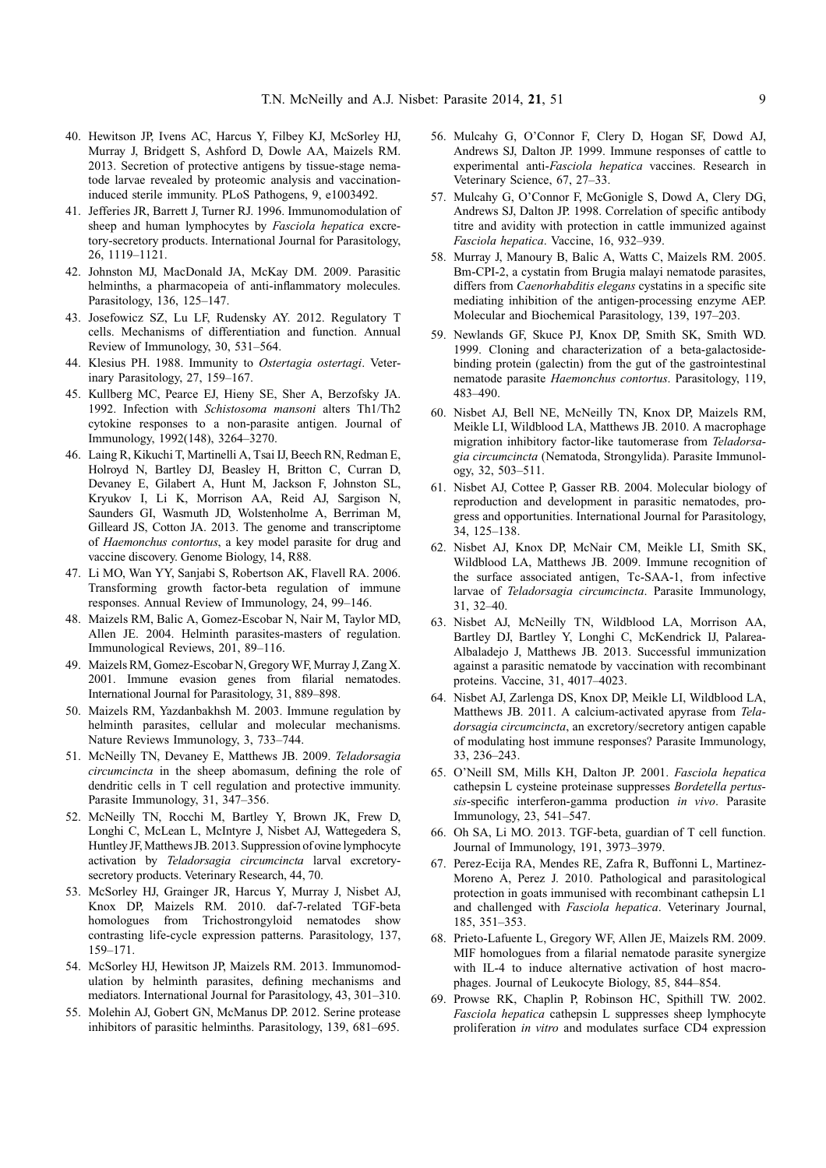- <span id="page-8-0"></span>40. Hewitson JP, Ivens AC, Harcus Y, Filbey KJ, McSorley HJ, Murray J, Bridgett S, Ashford D, Dowle AA, Maizels RM. 2013. Secretion of protective antigens by tissue-stage nematode larvae revealed by proteomic analysis and vaccinationinduced sterile immunity. PLoS Pathogens, 9, e1003492.
- 41. Jefferies JR, Barrett J, Turner RJ. 1996. Immunomodulation of sheep and human lymphocytes by *Fasciola hepatica* excretory-secretory products. International Journal for Parasitology, 26, 1119–1121.
- 42. Johnston MJ, MacDonald JA, McKay DM. 2009. Parasitic helminths, a pharmacopeia of anti-inflammatory molecules. Parasitology, 136, 125–147.
- 43. Josefowicz SZ, Lu LF, Rudensky AY. 2012. Regulatory T cells. Mechanisms of differentiation and function. Annual Review of Immunology, 30, 531–564.
- 44. Klesius PH. 1988. Immunity to Ostertagia ostertagi. Veterinary Parasitology, 27, 159–167.
- 45. Kullberg MC, Pearce EJ, Hieny SE, Sher A, Berzofsky JA. 1992. Infection with Schistosoma mansoni alters Th1/Th2 cytokine responses to a non-parasite antigen. Journal of Immunology, 1992(148), 3264–3270.
- 46. Laing R, Kikuchi T, Martinelli A, Tsai IJ, Beech RN, Redman E, Holroyd N, Bartley DJ, Beasley H, Britton C, Curran D, Devaney E, Gilabert A, Hunt M, Jackson F, Johnston SL, Kryukov I, Li K, Morrison AA, Reid AJ, Sargison N, Saunders GI, Wasmuth JD, Wolstenholme A, Berriman M, Gilleard JS, Cotton JA. 2013. The genome and transcriptome of Haemonchus contortus, a key model parasite for drug and vaccine discovery. Genome Biology, 14, R88.
- 47. Li MO, Wan YY, Sanjabi S, Robertson AK, Flavell RA. 2006. Transforming growth factor-beta regulation of immune responses. Annual Review of Immunology, 24, 99–146.
- 48. Maizels RM, Balic A, Gomez-Escobar N, Nair M, Taylor MD, Allen JE. 2004. Helminth parasites-masters of regulation. Immunological Reviews, 201, 89–116.
- 49. Maizels RM, Gomez-Escobar N, Gregory WF, Murray J, Zang X. 2001. Immune evasion genes from filarial nematodes. International Journal for Parasitology, 31, 889–898.
- 50. Maizels RM, Yazdanbakhsh M. 2003. Immune regulation by helminth parasites, cellular and molecular mechanisms. Nature Reviews Immunology, 3, 733–744.
- 51. McNeilly TN, Devaney E, Matthews JB. 2009. Teladorsagia circumcincta in the sheep abomasum, defining the role of dendritic cells in T cell regulation and protective immunity. Parasite Immunology, 31, 347–356.
- 52. McNeilly TN, Rocchi M, Bartley Y, Brown JK, Frew D, Longhi C, McLean L, McIntyre J, Nisbet AJ, Wattegedera S, Huntley JF, Matthews JB, 2013. Suppression of ovine lymphocyte activation by Teladorsagia circumcincta larval excretorysecretory products. Veterinary Research, 44, 70.
- 53. McSorley HJ, Grainger JR, Harcus Y, Murray J, Nisbet AJ, Knox DP, Maizels RM. 2010. daf-7-related TGF-beta homologues from Trichostrongyloid nematodes show contrasting life-cycle expression patterns. Parasitology, 137, 159–171.
- 54. McSorley HJ, Hewitson JP, Maizels RM. 2013. Immunomodulation by helminth parasites, defining mechanisms and mediators. International Journal for Parasitology, 43, 301–310.
- 55. Molehin AJ, Gobert GN, McManus DP. 2012. Serine protease inhibitors of parasitic helminths. Parasitology, 139, 681–695.
- 56. Mulcahy G, O'Connor F, Clery D, Hogan SF, Dowd AJ, Andrews SJ, Dalton JP. 1999. Immune responses of cattle to experimental anti-Fasciola hepatica vaccines. Research in Veterinary Science, 67, 27–33.
- 57. Mulcahy G, O'Connor F, McGonigle S, Dowd A, Clery DG, Andrews SJ, Dalton JP. 1998. Correlation of specific antibody titre and avidity with protection in cattle immunized against Fasciola hepatica. Vaccine, 16, 932–939.
- 58. Murray J, Manoury B, Balic A, Watts C, Maizels RM. 2005. Bm-CPI-2, a cystatin from Brugia malayi nematode parasites, differs from Caenorhabditis elegans cystatins in a specific site mediating inhibition of the antigen-processing enzyme AEP. Molecular and Biochemical Parasitology, 139, 197–203.
- 59. Newlands GF, Skuce PJ, Knox DP, Smith SK, Smith WD. 1999. Cloning and characterization of a beta-galactosidebinding protein (galectin) from the gut of the gastrointestinal nematode parasite Haemonchus contortus. Parasitology, 119, 483–490.
- 60. Nisbet AJ, Bell NE, McNeilly TN, Knox DP, Maizels RM, Meikle LI, Wildblood LA, Matthews JB. 2010. A macrophage migration inhibitory factor-like tautomerase from Teladorsagia circumcincta (Nematoda, Strongylida). Parasite Immunology, 32, 503–511.
- 61. Nisbet AJ, Cottee P, Gasser RB. 2004. Molecular biology of reproduction and development in parasitic nematodes, progress and opportunities. International Journal for Parasitology, 34, 125–138.
- 62. Nisbet AJ, Knox DP, McNair CM, Meikle LI, Smith SK, Wildblood LA, Matthews JB. 2009. Immune recognition of the surface associated antigen, Tc-SAA-1, from infective larvae of Teladorsagia circumcincta. Parasite Immunology, 31, 32–40.
- 63. Nisbet AJ, McNeilly TN, Wildblood LA, Morrison AA, Bartley DJ, Bartley Y, Longhi C, McKendrick IJ, Palarea-Albaladejo J, Matthews JB. 2013. Successful immunization against a parasitic nematode by vaccination with recombinant proteins. Vaccine, 31, 4017–4023.
- 64. Nisbet AJ, Zarlenga DS, Knox DP, Meikle LI, Wildblood LA, Matthews JB. 2011. A calcium-activated apyrase from Teladorsagia circumcincta, an excretory/secretory antigen capable of modulating host immune responses? Parasite Immunology, 33, 236–243.
- 65. O'Neill SM, Mills KH, Dalton JP. 2001. Fasciola hepatica cathepsin L cysteine proteinase suppresses Bordetella pertussis-specific interferon-gamma production in vivo. Parasite Immunology, 23, 541–547.
- 66. Oh SA, Li MO. 2013. TGF-beta, guardian of T cell function. Journal of Immunology, 191, 3973–3979.
- 67. Perez-Ecija RA, Mendes RE, Zafra R, Buffonni L, Martinez-Moreno A, Perez J. 2010. Pathological and parasitological protection in goats immunised with recombinant cathepsin L1 and challenged with Fasciola hepatica. Veterinary Journal, 185, 351–353.
- 68. Prieto-Lafuente L, Gregory WF, Allen JE, Maizels RM. 2009. MIF homologues from a filarial nematode parasite synergize with IL-4 to induce alternative activation of host macrophages. Journal of Leukocyte Biology, 85, 844–854.
- 69. Prowse RK, Chaplin P, Robinson HC, Spithill TW. 2002. Fasciola hepatica cathepsin L suppresses sheep lymphocyte proliferation in vitro and modulates surface CD4 expression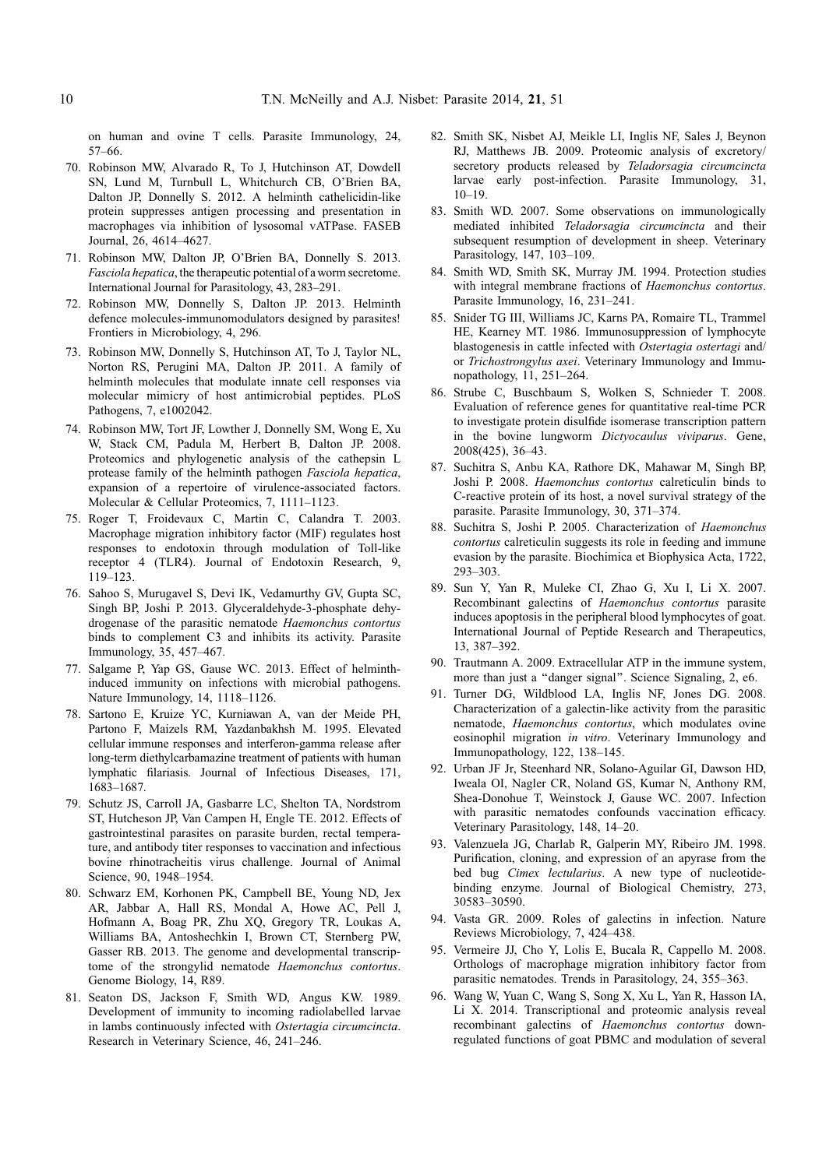on human and ovine T cells. Parasite Immunology, 24, 57–66.

- 70. Robinson MW, Alvarado R, To J, Hutchinson AT, Dowdell SN, Lund M, Turnbull L, Whitchurch CB, O'Brien BA, Dalton JP, Donnelly S. 2012. A helminth cathelicidin-like protein suppresses antigen processing and presentation in macrophages via inhibition of lysosomal vATPase. FASEB Journal, 26, 4614–4627.
- 71. Robinson MW, Dalton JP, O'Brien BA, Donnelly S. 2013. Fasciola hepatica, the therapeutic potential of a worm secretome. International Journal for Parasitology, 43, 283–291.
- 72. Robinson MW, Donnelly S, Dalton JP. 2013. Helminth defence molecules-immunomodulators designed by parasites! Frontiers in Microbiology, 4, 296.
- 73. Robinson MW, Donnelly S, Hutchinson AT, To J, Taylor NL, Norton RS, Perugini MA, Dalton JP. 2011. A family of helminth molecules that modulate innate cell responses via molecular mimicry of host antimicrobial peptides. PLoS Pathogens, 7, e1002042.
- 74. Robinson MW, Tort JF, Lowther J, Donnelly SM, Wong E, Xu W, Stack CM, Padula M, Herbert B, Dalton JP. 2008. Proteomics and phylogenetic analysis of the cathepsin L protease family of the helminth pathogen Fasciola hepatica, expansion of a repertoire of virulence-associated factors. Molecular & Cellular Proteomics, 7, 1111–1123.
- 75. Roger T, Froidevaux C, Martin C, Calandra T. 2003. Macrophage migration inhibitory factor (MIF) regulates host responses to endotoxin through modulation of Toll-like receptor 4 (TLR4). Journal of Endotoxin Research, 9, 119–123.
- 76. Sahoo S, Murugavel S, Devi IK, Vedamurthy GV, Gupta SC, Singh BP, Joshi P. 2013. Glyceraldehyde-3-phosphate dehydrogenase of the parasitic nematode Haemonchus contortus binds to complement C3 and inhibits its activity. Parasite Immunology, 35, 457–467.
- 77. Salgame P, Yap GS, Gause WC. 2013. Effect of helminthinduced immunity on infections with microbial pathogens. Nature Immunology, 14, 1118–1126.
- 78. Sartono E, Kruize YC, Kurniawan A, van der Meide PH, Partono F, Maizels RM, Yazdanbakhsh M. 1995. Elevated cellular immune responses and interferon-gamma release after long-term diethylcarbamazine treatment of patients with human lymphatic filariasis. Journal of Infectious Diseases, 171, 1683–1687.
- 79. Schutz JS, Carroll JA, Gasbarre LC, Shelton TA, Nordstrom ST, Hutcheson JP, Van Campen H, Engle TE. 2012. Effects of gastrointestinal parasites on parasite burden, rectal temperature, and antibody titer responses to vaccination and infectious bovine rhinotracheitis virus challenge. Journal of Animal Science, 90, 1948–1954.
- 80. Schwarz EM, Korhonen PK, Campbell BE, Young ND, Jex AR, Jabbar A, Hall RS, Mondal A, Howe AC, Pell J, Hofmann A, Boag PR, Zhu XQ, Gregory TR, Loukas A, Williams BA, Antoshechkin I, Brown CT, Sternberg PW, Gasser RB. 2013. The genome and developmental transcriptome of the strongylid nematode Haemonchus contortus. Genome Biology, 14, R89.
- 81. Seaton DS, Jackson F, Smith WD, Angus KW. 1989. Development of immunity to incoming radiolabelled larvae in lambs continuously infected with Ostertagia circumcincta. Research in Veterinary Science, 46, 241–246.
- 82. Smith SK, Nisbet AJ, Meikle LI, Inglis NF, Sales J, Beynon RJ, Matthews JB. 2009. Proteomic analysis of excretory/ secretory products released by Teladorsagia circumcincta larvae early post-infection. Parasite Immunology, 31, 10–19.
- 83. Smith WD. 2007. Some observations on immunologically mediated inhibited Teladorsagia circumcincta and their subsequent resumption of development in sheep. Veterinary Parasitology, 147, 103–109.
- 84. Smith WD, Smith SK, Murray JM. 1994. Protection studies with integral membrane fractions of Haemonchus contortus. Parasite Immunology, 16, 231–241.
- 85. Snider TG III, Williams JC, Karns PA, Romaire TL, Trammel HE, Kearney MT. 1986. Immunosuppression of lymphocyte blastogenesis in cattle infected with *Ostertagia ostertagi* and/ or Trichostrongylus axei. Veterinary Immunology and Immunopathology, 11, 251–264.
- 86. Strube C, Buschbaum S, Wolken S, Schnieder T. 2008. Evaluation of reference genes for quantitative real-time PCR to investigate protein disulfide isomerase transcription pattern in the bovine lungworm Dictyocaulus viviparus. Gene, 2008(425), 36–43.
- 87. Suchitra S, Anbu KA, Rathore DK, Mahawar M, Singh BP, Joshi P. 2008. Haemonchus contortus calreticulin binds to C-reactive protein of its host, a novel survival strategy of the parasite. Parasite Immunology, 30, 371–374.
- 88. Suchitra S, Joshi P. 2005. Characterization of Haemonchus contortus calreticulin suggests its role in feeding and immune evasion by the parasite. Biochimica et Biophysica Acta, 1722, 293–303.
- 89. Sun Y, Yan R, Muleke CI, Zhao G, Xu I, Li X. 2007. Recombinant galectins of Haemonchus contortus parasite induces apoptosis in the peripheral blood lymphocytes of goat. International Journal of Peptide Research and Therapeutics, 13, 387–392.
- 90. Trautmann A. 2009. Extracellular ATP in the immune system, more than just a ''danger signal''. Science Signaling, 2, e6.
- 91. Turner DG, Wildblood LA, Inglis NF, Jones DG. 2008. Characterization of a galectin-like activity from the parasitic nematode, Haemonchus contortus, which modulates ovine eosinophil migration in vitro. Veterinary Immunology and Immunopathology, 122, 138–145.
- 92. Urban JF Jr, Steenhard NR, Solano-Aguilar GI, Dawson HD, Iweala OI, Nagler CR, Noland GS, Kumar N, Anthony RM, Shea-Donohue T, Weinstock J, Gause WC. 2007. Infection with parasitic nematodes confounds vaccination efficacy. Veterinary Parasitology, 148, 14–20.
- 93. Valenzuela JG, Charlab R, Galperin MY, Ribeiro JM. 1998. Purification, cloning, and expression of an apyrase from the bed bug Cimex lectularius. A new type of nucleotidebinding enzyme. Journal of Biological Chemistry, 273, 30583–30590.
- 94. Vasta GR. 2009. Roles of galectins in infection. Nature Reviews Microbiology, 7, 424–438.
- 95. Vermeire JJ, Cho Y, Lolis E, Bucala R, Cappello M. 2008. Orthologs of macrophage migration inhibitory factor from parasitic nematodes. Trends in Parasitology, 24, 355–363.
- 96. Wang W, Yuan C, Wang S, Song X, Xu L, Yan R, Hasson IA, Li X. 2014. Transcriptional and proteomic analysis reveal recombinant galectins of Haemonchus contortus downregulated functions of goat PBMC and modulation of several

<span id="page-9-0"></span>